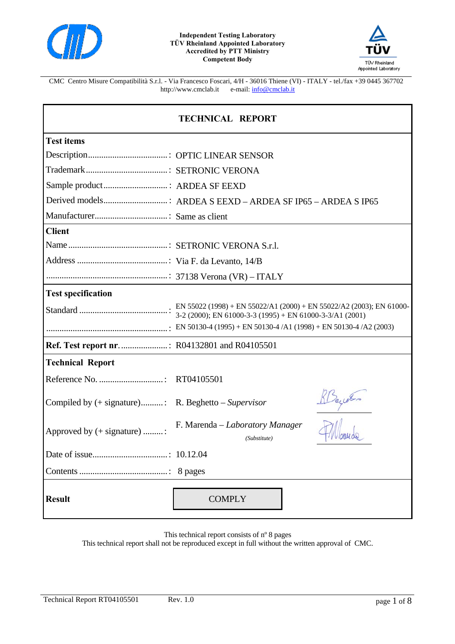



CMC Centro Misure Compatibilità S.r.l. - Via Francesco Foscari, 4/H - 36016 Thiene (VI) - ITALY - tel./fax +39 0445 367702  $e$ -mail:  $\frac{\text{info@cmclab.it}}{\text{info@cmclab.it}}$ 

| <b>TECHNICAL REPORT</b>     |                                                 |  |  |
|-----------------------------|-------------------------------------------------|--|--|
| <b>Test items</b>           |                                                 |  |  |
|                             |                                                 |  |  |
|                             |                                                 |  |  |
|                             |                                                 |  |  |
|                             |                                                 |  |  |
|                             |                                                 |  |  |
| <b>Client</b>               |                                                 |  |  |
|                             |                                                 |  |  |
|                             |                                                 |  |  |
|                             |                                                 |  |  |
| <b>Test specification</b>   |                                                 |  |  |
|                             |                                                 |  |  |
|                             |                                                 |  |  |
|                             |                                                 |  |  |
|                             |                                                 |  |  |
| <b>Technical Report</b>     |                                                 |  |  |
|                             |                                                 |  |  |
|                             |                                                 |  |  |
| Approved by (+ signature) : | F. Marenda – Laboratory Manager<br>(Substitute) |  |  |
|                             |                                                 |  |  |
|                             |                                                 |  |  |
| <b>Result</b>               | <b>COMPLY</b>                                   |  |  |

This technical report consists of nº 8 pages

This technical report shall not be reproduced except in full without the written approval of CMC.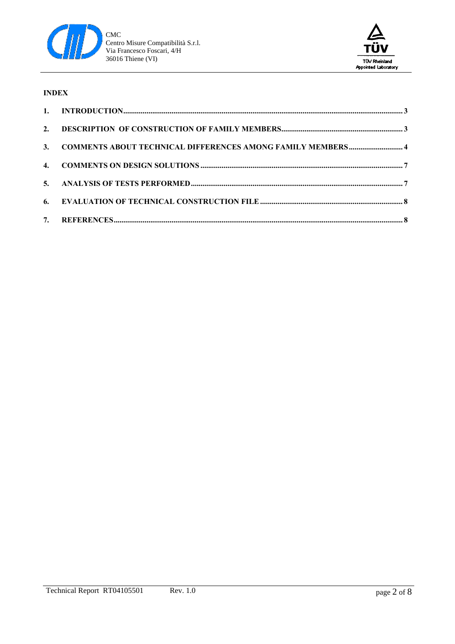



#### **INDEX**

| 3. COMMENTS ABOUT TECHNICAL DIFFERENCES AMONG FAMILY MEMBERS 4 |  |
|----------------------------------------------------------------|--|
|                                                                |  |
|                                                                |  |
|                                                                |  |
|                                                                |  |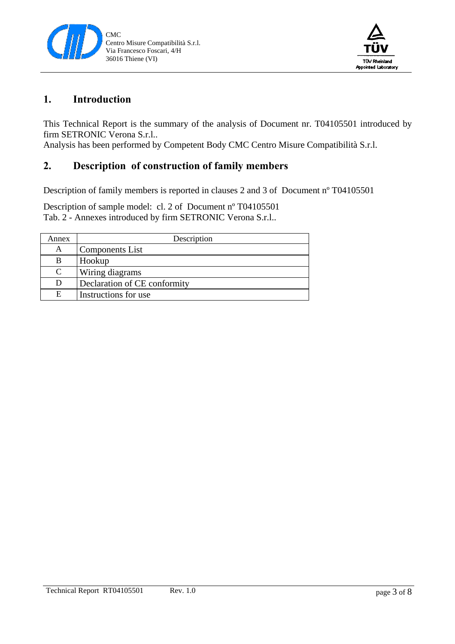



## **1. Introduction**

This Technical Report is the summary of the analysis of Document nr. T04105501 introduced by firm SETRONIC Verona S.r.l..

Analysis has been performed by Competent Body CMC Centro Misure Compatibilità S.r.l.

## **2. Description of construction of family members**

Description of family members is reported in clauses 2 and 3 of Document nº T04105501

Description of sample model: cl. 2 of Document nº T04105501 Tab. 2 - Annexes introduced by firm SETRONIC Verona S.r.l..

| Annex | Description                  |
|-------|------------------------------|
| A     | <b>Components List</b>       |
| B     | Hookup                       |
| C     | Wiring diagrams              |
| D     | Declaration of CE conformity |
| E     | Instructions for use         |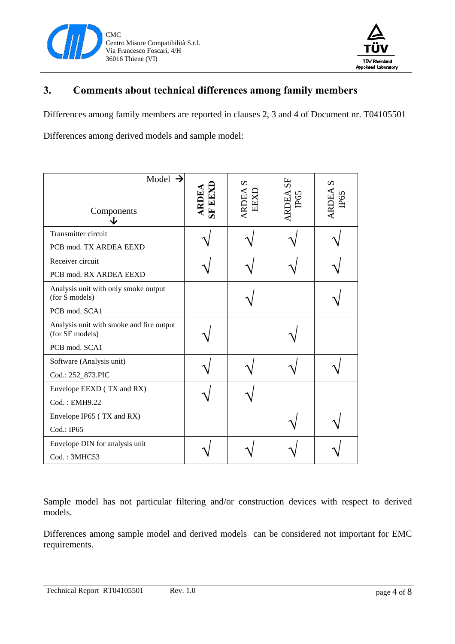



# **3. Comments about technical differences among family members**

Differences among family members are reported in clauses 2, 3 and 4 of Document nr. T04105501

Differences among derived models and sample model:

| Model $\rightarrow$<br>Components<br>۰L                     | ARDEA<br>SF EEXD | n<br><b>RDEA</b><br>EEXD | ARDEA SF<br>IP65 | $\boldsymbol{\mathsf{S}}$<br>RDEA<br>P65 |
|-------------------------------------------------------------|------------------|--------------------------|------------------|------------------------------------------|
| Transmitter circuit                                         |                  |                          |                  |                                          |
| PCB mod. TX ARDEA EEXD                                      |                  |                          |                  |                                          |
| Receiver circuit                                            |                  |                          |                  |                                          |
| PCB mod. RX ARDEA EEXD                                      |                  |                          |                  |                                          |
| Analysis unit with only smoke output<br>(for S models)      |                  |                          |                  |                                          |
| PCB mod. SCA1                                               |                  |                          |                  |                                          |
| Analysis unit with smoke and fire output<br>(for SF models) |                  |                          |                  |                                          |
| PCB mod. SCA1                                               |                  |                          |                  |                                          |
| Software (Analysis unit)                                    |                  |                          |                  |                                          |
| Cod.: 252_873.PIC                                           |                  |                          |                  |                                          |
| Envelope EEXD (TX and RX)                                   |                  |                          |                  |                                          |
| Cod.: EMH9.22                                               |                  |                          |                  |                                          |
| Envelope IP65 (TX and RX)                                   |                  |                          |                  |                                          |
| Cod.: IP65                                                  |                  |                          |                  |                                          |
| Envelope DIN for analysis unit                              |                  |                          |                  |                                          |
| Cod.: 3MHC53                                                |                  |                          |                  |                                          |

Sample model has not particular filtering and/or construction devices with respect to derived models.

Differences among sample model and derived models can be considered not important for EMC requirements.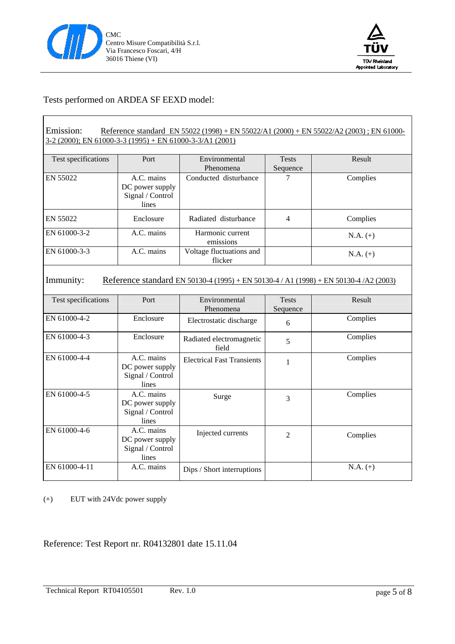



#### Tests performed on ARDEA SF EEXD model:

| Emission:<br>Reference standard EN 55022 (1998) + EN 55022/A1 (2000) + EN 55022/A2 (2003); EN 61000-<br>3-2 (2000); EN 61000-3-3 (1995) + EN 61000-3-3/A1 (2001) |                                                            |                                     |                          |            |  |
|------------------------------------------------------------------------------------------------------------------------------------------------------------------|------------------------------------------------------------|-------------------------------------|--------------------------|------------|--|
| Test specifications                                                                                                                                              | Port                                                       | Environmental<br>Phenomena          | <b>Tests</b><br>Sequence | Result     |  |
| EN 55022                                                                                                                                                         | A.C. mains<br>DC power supply<br>Signal / Control<br>lines | Conducted disturbance               | 7                        | Complies   |  |
| EN 55022                                                                                                                                                         | Enclosure                                                  | Radiated disturbance                | $\overline{4}$           | Complies   |  |
| EN 61000-3-2                                                                                                                                                     | A.C. mains                                                 | Harmonic current<br>emissions       |                          | $N.A. (+)$ |  |
| EN 61000-3-3                                                                                                                                                     | A.C. mains                                                 | Voltage fluctuations and<br>flicker |                          | $N.A. (+)$ |  |
| Immunity:<br>Reference standard EN 50130-4 (1995) + EN 50130-4 / A1 (1998) + EN 50130-4 / A2 (2003)                                                              |                                                            |                                     |                          |            |  |
| Test specifications                                                                                                                                              | Port                                                       | Environmental<br>Phenomena          | <b>Tests</b><br>Sequence | Result     |  |
| EN 61000-4-2                                                                                                                                                     | Enclosure                                                  | Electrostatic discharge             | 6                        | Complies   |  |
| EN 61000-4-3                                                                                                                                                     | Enclosure                                                  | Radiated electromagnetic<br>field   | 5                        | Complies   |  |
| EN 61000-4-4                                                                                                                                                     | A.C. mains<br>DC power supply<br>Signal / Control<br>lines | <b>Electrical Fast Transients</b>   | 1                        | Complies   |  |
| EN 61000-4-5                                                                                                                                                     | A.C. mains<br>DC power supply<br>Signal / Control<br>lines | Surge                               | 3                        | Complies   |  |
| EN 61000-4-6                                                                                                                                                     | A.C. mains<br>DC power supply<br>Signal / Control<br>lines | Injected currents                   | $\overline{2}$           | Complies   |  |
| EN 61000-4-11                                                                                                                                                    | A.C. mains                                                 | Dips / Short interruptions          |                          | $N.A. (+)$ |  |

(+) EUT with 24Vdc power supply

Reference: Test Report nr. R04132801 date 15.11.04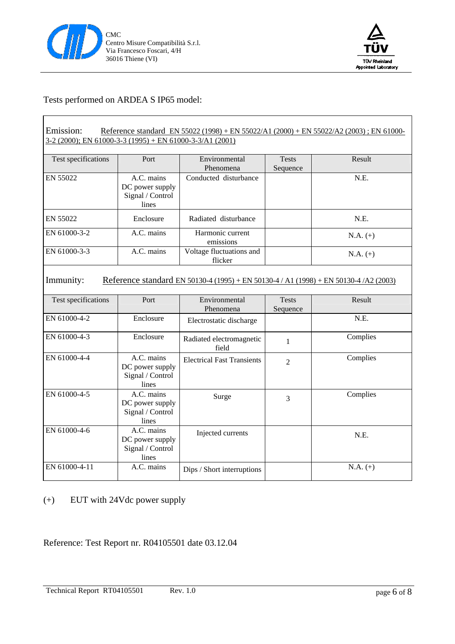



#### Tests performed on ARDEA S IP65 model:

| Emission:<br>Reference standard EN 55022 (1998) + EN 55022/A1 (2000) + EN 55022/A2 (2003); EN 61000-<br>3-2 (2000); EN 61000-3-3 (1995) + EN 61000-3-3/A1 (2001) |                                                            |                                     |                          |            |  |
|------------------------------------------------------------------------------------------------------------------------------------------------------------------|------------------------------------------------------------|-------------------------------------|--------------------------|------------|--|
| Test specifications                                                                                                                                              | Port                                                       | Environmental<br>Phenomena          | <b>Tests</b><br>Sequence | Result     |  |
| EN 55022                                                                                                                                                         | A.C. mains<br>DC power supply<br>Signal / Control<br>lines | Conducted disturbance               |                          | N.E.       |  |
| EN 55022                                                                                                                                                         | Enclosure                                                  | Radiated disturbance                |                          | N.E.       |  |
| EN 61000-3-2                                                                                                                                                     | A.C. mains                                                 | Harmonic current<br>emissions       |                          | $N.A. (+)$ |  |
| EN 61000-3-3                                                                                                                                                     | A.C. mains                                                 | Voltage fluctuations and<br>flicker |                          | $N.A. (+)$ |  |
| Immunity:<br>Reference standard EN 50130-4 (1995) + EN 50130-4 / A1 (1998) + EN 50130-4 / A2 (2003)                                                              |                                                            |                                     |                          |            |  |
| Test specifications                                                                                                                                              | Port                                                       | Environmental<br>Phenomena          | <b>Tests</b><br>Sequence | Result     |  |
| EN 61000-4-2                                                                                                                                                     | Enclosure                                                  | Electrostatic discharge             |                          | N.E.       |  |
| EN 61000-4-3                                                                                                                                                     | Enclosure                                                  | Radiated electromagnetic<br>field   | 1                        | Complies   |  |
| EN 61000-4-4                                                                                                                                                     | A.C. mains<br>DC power supply<br>Signal / Control<br>lines | <b>Electrical Fast Transients</b>   | $\overline{2}$           | Complies   |  |
| EN 61000-4-5                                                                                                                                                     | A.C. mains<br>DC power supply<br>Signal / Control<br>lines | Surge                               | 3                        | Complies   |  |
| EN 61000-4-6                                                                                                                                                     | A.C. mains<br>DC power supply<br>Signal / Control<br>lines | Injected currents                   |                          | N.E.       |  |
| EN 61000-4-11                                                                                                                                                    | A.C. mains                                                 | Dips / Short interruptions          |                          | $N.A. (+)$ |  |

(+) EUT with 24Vdc power supply

Reference: Test Report nr. R04105501 date 03.12.04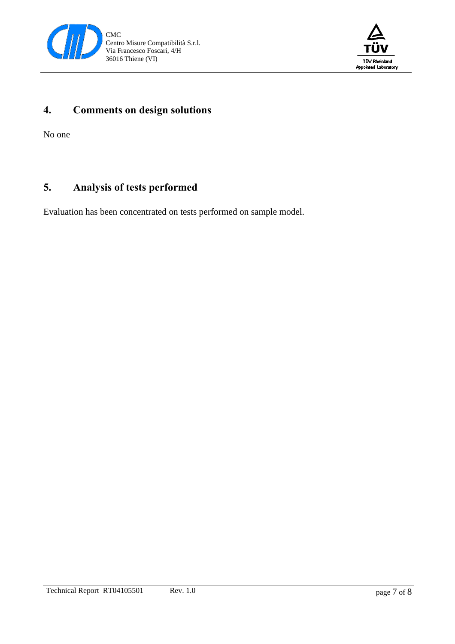



# **4. Comments on design solutions**

No one

# **5. Analysis of tests performed**

Evaluation has been concentrated on tests performed on sample model.